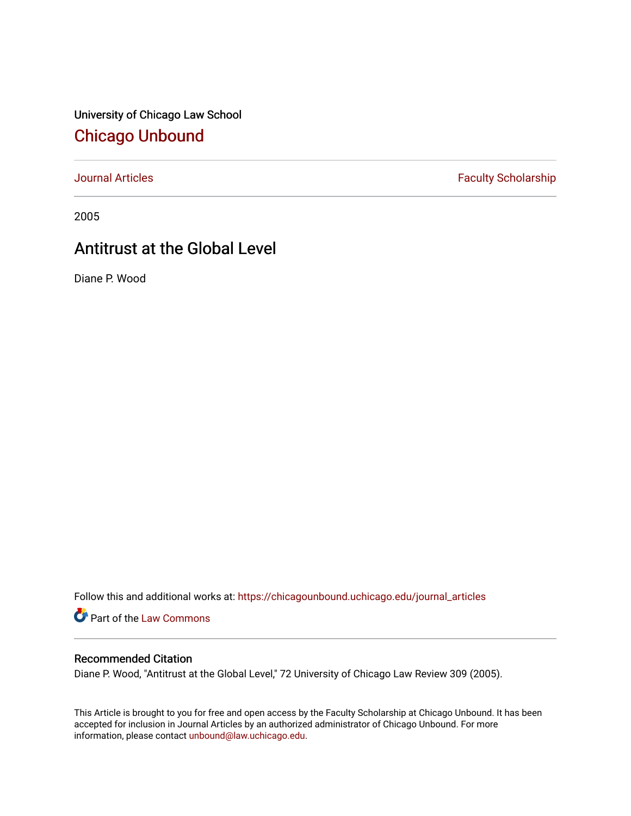University of Chicago Law School [Chicago Unbound](https://chicagounbound.uchicago.edu/)

[Journal Articles](https://chicagounbound.uchicago.edu/journal_articles) **Faculty Scholarship Faculty Scholarship** 

2005

# Antitrust at the Global Level

Diane P. Wood

Follow this and additional works at: [https://chicagounbound.uchicago.edu/journal\\_articles](https://chicagounbound.uchicago.edu/journal_articles?utm_source=chicagounbound.uchicago.edu%2Fjournal_articles%2F2059&utm_medium=PDF&utm_campaign=PDFCoverPages) 

Part of the [Law Commons](http://network.bepress.com/hgg/discipline/578?utm_source=chicagounbound.uchicago.edu%2Fjournal_articles%2F2059&utm_medium=PDF&utm_campaign=PDFCoverPages)

# Recommended Citation

Diane P. Wood, "Antitrust at the Global Level," 72 University of Chicago Law Review 309 (2005).

This Article is brought to you for free and open access by the Faculty Scholarship at Chicago Unbound. It has been accepted for inclusion in Journal Articles by an authorized administrator of Chicago Unbound. For more information, please contact [unbound@law.uchicago.edu](mailto:unbound@law.uchicago.edu).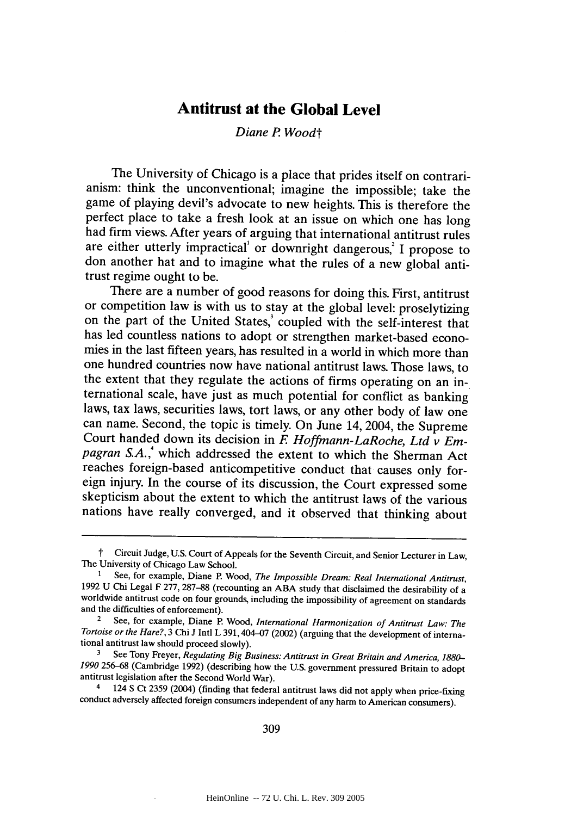# **Antitrust at the Global Level**

# *Diane P Woodt*

The University of Chicago is a place that prides itself on contrarianism: think the unconventional; imagine the impossible; take the game of playing devil's advocate to new heights. This is therefore the perfect place to take a fresh look at an issue on which one has long had firm views. After years of arguing that international antitrust rules are either utterly impractical' or downright dangerous,<sup>2</sup> I propose to don another hat and to imagine what the rules of a new global antitrust regime ought to be.

There are a number of good reasons for doing this. First, antitrust or competition law is with us to stay at the global level: proselytizing on the part of the United States,<sup>3</sup> coupled with the self-interest that has led countless nations to adopt or strengthen market-based economies in the last fifteen years, has resulted in a world in which more than one hundred countries now have national antitrust laws. Those laws, to the extent that they regulate the actions of firms operating on an international scale, have just as much potential for conflict as banking laws, tax laws, securities laws, tort laws, or any other body of law one can name. Second, the topic is timely. On June 14, 2004, the Supreme Court handed down its decision in *E Hoffmann-LaRoche, Ltd v Empagran S.A.* **,** which addressed the extent to which the Sherman Act reaches foreign-based anticompetitive conduct that causes only foreign injury. In the course of its discussion, the Court expressed some skepticism about the extent to which the antitrust laws of the various nations have really converged, and it observed that thinking about

<sup>&</sup>lt;sup>†</sup> Circuit Judge, U.S. Court of Appeals for the Seventh Circuit, and Senior Lecturer in Law, The University of Chicago Law School.

<sup>1</sup> See, for example, Diane P. Wood, *The Impossible Dream: Real International Antitrust,* 1992 U Chi Legal F 277, 287-88 (recounting an ABA study that disclaimed the desirability of a worldwide antitrust code on four grounds, including the impossibility of agreement on standards and the difficulties of enforcement).

<sup>2</sup>See, for example, Diane P. Wood, *International Harmonization of Antitrust Law: The Tortoise or the Hare?,* 3 Chi J Intl L 391,404-07 (2002) (arguing that the development of international antitrust law should proceed slowly).

**<sup>3</sup>** See Tony Freyer, *Regulating Big Business: Antitrust in Great Britain and America, 1880- 1990* 256-68 (Cambridge 1992) (describing how the U.S. government pressured Britain to adopt antitrust legislation after the Second World War).

<sup>4 124</sup> **S** Ct 2359 (2004) (finding that federal antitrust laws did not apply when price-fixing conduct adversely affected foreign consumers independent of any harm to American consumers).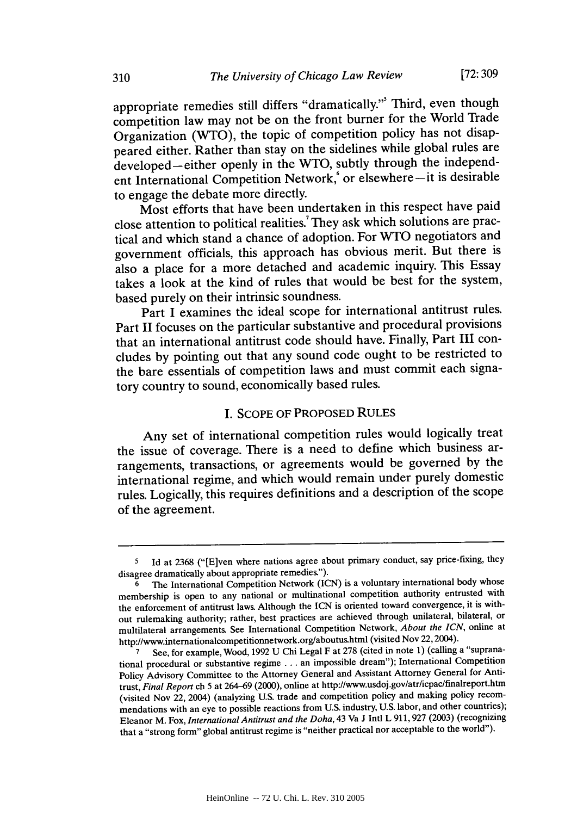**[72:309**

appropriate remedies still differs "dramatically."' Third, even though competition law may not be on the front burner for the World Trade Organization (WTO), the topic of competition policy has not disappeared either. Rather than stay on the sidelines while global rules are developed--either openly in the WTO, subtly through the independent International Competition Network,<sup>6</sup> or elsewhere-it is desirable to engage the debate more directly.

Most efforts that have been undertaken in this respect have paid close attention to political realities. They ask which solutions are practical and which stand a chance of adoption. For **WTO** negotiators and government officials, this approach has obvious merit. But there is also a place for a more detached and academic inquiry. This Essay takes a look at the kind of rules that would be best for the system, based purely on their intrinsic soundness.

Part I examines the ideal scope for international antitrust rules. Part **II** focuses on the particular substantive and procedural provisions that an international antitrust code should have. Finally, Part **III** concludes **by** pointing out that any sound code ought to be restricted to the bare essentials of competition laws and must commit each signatory country to sound, economically based rules.

# I. SCOPE OF PROPOSED RULES

Any set of international competition rules would logically treat the issue of coverage. There is a need to define which business arrangements, transactions, or agreements would be governed **by** the international regime, and which would remain under purely domestic rules. Logically, this requires definitions and a description of the scope of the agreement.

<sup>&</sup>lt;sup>5</sup> Id at 2368 ("[E]ven where nations agree about primary conduct, say price-fixing, they disagree dramatically about appropriate remedies.").

**<sup>6</sup>**The International Competition Network (ICN) is a voluntary international body whose membership is open to any national or multinational competition authority entrusted with the enforcement of antitrust laws. Although the ICN is oriented toward convergence, it is without rulemaking authority; rather, best practices are achieved through unilateral, bilateral, or multilateral arrangements. See International Competition Network, *About the ICN,* online at http://www.internationalcompetitionnetwork.org/aboutus.html (visited Nov 22, 2004).

**<sup>7</sup>** See, for example, Wood, 1992 U Chi Legal F at **278** (cited in note **1)** (calling a "supranational procedural or substantive regime **...** an impossible dream"); International Competition Policy Advisory Committee to the Attorney General and Assistant Attorney General for Antitrust, *Final Report* ch **5** at 264-69 (2000), online at http://www.usdoj.gov/atr/icpac/finalreport.htm (visited Nov 22, 2004) (analyzing U.S. trade and competition policy and making policy recommendations with an eye to possible reactions from **U.S.** industry, **U.S.** labor, and other countries); Eleanor M. Fox, *International Antitrust and the Doha*, 43 Va J Intl L 911, 927 (2003) (recognizing that a "strong form" global antitrust regime is "neither practical nor acceptable to the world").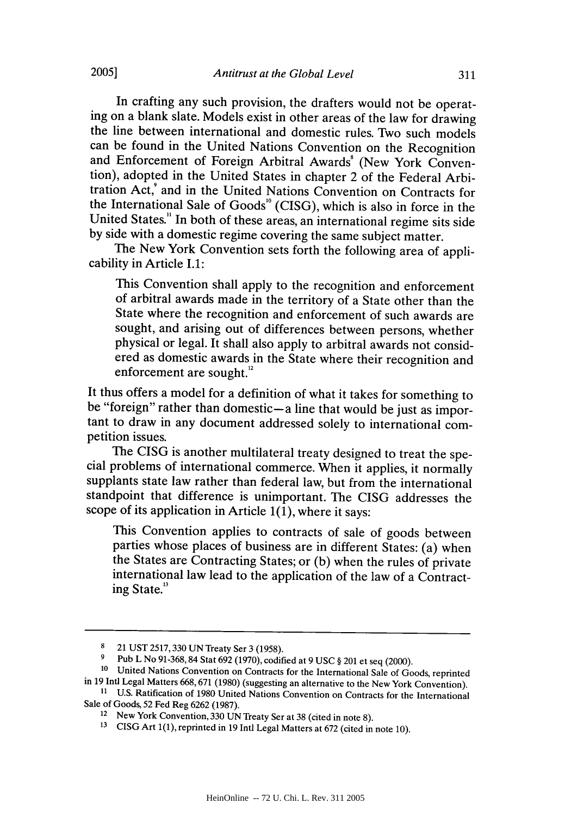In crafting any such provision, the drafters would not be operat-<br>ing on a blank slate. Models exist in other areas of the law for drawing the line between international and domestic rules. Two such models can be found in the United Nations Convention on the Recognition and Enforcement of Foreign Arbitral Awards<sup>8</sup> (New York Convention), adopted in the United States in chapter 2 of the Federal Arbitration Act,' and in the United Nations Convention on Contracts for the International Sale of Goods' ° (CISG), which is also in force in the United States." In both of these areas, an international regime sits side by side with a domestic regime covering the same subject matter.

The New York Convention sets forth the following area of applicability in Article **1.1:**

This Convention shall apply to the recognition and enforcement of arbitral awards made in the territory of a State other than the State where the recognition and enforcement of such awards are sought, and arising out of differences between persons, whether physical or legal. It shall also apply to arbitral awards not considered as domestic awards in the State where their recognition and enforcement are sought.<sup>12</sup>

It thus offers a model for a definition of what it takes for something to be "foreign" rather than domestic-a line that would be just as important to draw in any document addressed solely to international competition issues.

The CISG is another multilateral treaty designed to treat the special problems of international commerce. When it applies, it normally supplants state law rather than federal law, but from the international standpoint that difference is unimportant. The CISG addresses the scope of its application in Article  $1(1)$ , where it says:

This Convention applies to contracts of sale of goods between parties whose places of business are in different States: (a) when the States are Contracting States; or (b) when the rules of private international law lead to the application of the law of a Contracting State."

**<sup>8</sup>** 21 UST 2517,330 UN Treaty Ser 3 (1958).

<sup>&</sup>lt;sup>9</sup> Pub L No 91-368, 84 Stat 692 (1970), codified at 9 USC § 201 et seq (2000).<br><sup>10</sup> United Nations Convention on Contracts for the International Sale of Goods, reprinted in 19 Intl Legal Matters 668,671 (1980) (suggesting an alternative to the New York Convention). **<sup>11</sup>**U.S. Ratification of 1980 United Nations Convention on Contracts for the International

Sale of Goods, 52 Fed Reg 6262 (1987).<br><sup>12</sup> New York Convention, 330 UN Treaty Ser at 38 (cited in note 8).

**<sup>13</sup>**CISG Art 1(1), reprinted in 19 Intl Legal Matters at 672 (cited in note 10).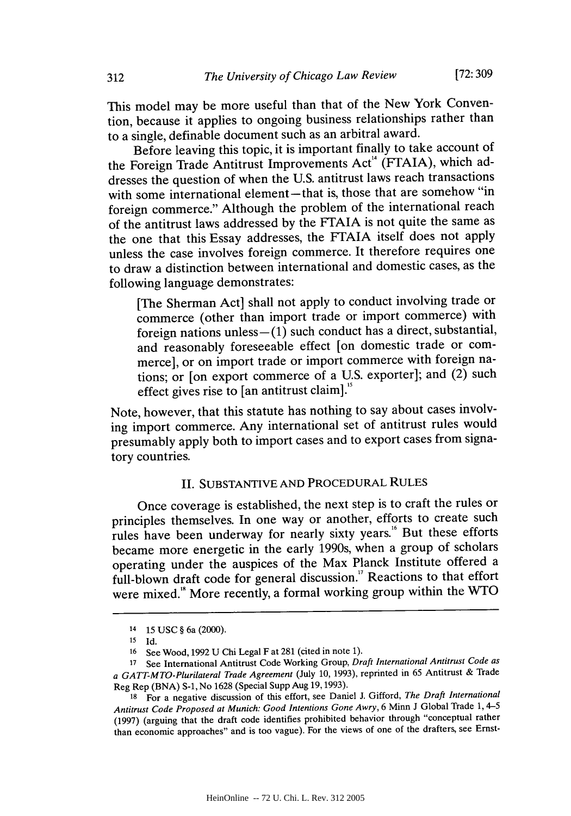This model may be more useful than that of the New York Convention, because it applies to ongoing business relationships rather than to a single, definable document such as an arbitral award.

Before leaving this topic, it is important finally to take account of the Foreign Trade Antitrust Improvements Act<sup>14</sup> (FTAIA), which addresses the question of when the U.S. antitrust laws reach transactions with some international element-that is, those that are somehow "in foreign commerce." Although the problem of the international reach of the antitrust laws addressed by the FTAIA is not quite the same as the one that this Essay addresses, the FTAIA itself does not apply unless the case involves foreign commerce. It therefore requires one to draw a distinction between international and domestic cases, as the following language demonstrates:

[The Sherman Act] shall not apply to conduct involving trade or commerce (other than import trade or import commerce) with foreign nations unless $- (1)$  such conduct has a direct, substantial, and reasonably foreseeable effect [on domestic trade or commerce], or on import trade or import commerce with foreign nations; or [on export commerce of a U.S. exporter]; and (2) such effect gives rise to  $[$ an antitrust claim $]$ .<sup>5</sup>

Note, however, that this statute has nothing to say about cases involving import commerce. Any international set of antitrust rules would presumably apply both to import cases and to export cases from signatory countries.

# II. SUBSTANTIVE AND PROCEDURAL RULES

Once coverage is established, the next step is to craft the rules or principles themselves. In one way or another, efforts to create such rules have been underway for nearly sixty years." But these efforts became more energetic in the early 1990s, when a group of scholars operating under the auspices of the Max Planck Institute offered a full-blown draft code for general discussion." Reactions to that effort were mixed." More recently, a formal working group within the WTO

<sup>14</sup>**15** USC § 6a (2000).

**<sup>15</sup>** Id.

<sup>16</sup> See Wood, 1992 U Chi Legal F at 281 (cited in note 1).

**<sup>17</sup>**See International Antitrust Code Working Group, *Draft International Antitrust Code as a GATT-MTO-Plurilateral Trade Agreement* (July 10, 1993), reprinted in 65 Antitrust & Trade Reg Rep (BNA) **S-1,** No 1628 (Special Supp Aug 19,1993).

**<sup>18</sup>**For a negative discussion of this effort, see Daniel J. Gifford, *The Draft International Antitrust* Code Proposed at *Munich: Good Intentions Gone Awry,* 6 Minn J Global Trade 1, 4-5 (1997) (arguing that the draft code identifies prohibited behavior through "conceptual rather than economic approaches" and is too vague). For the views of one of the drafters, see Ernst-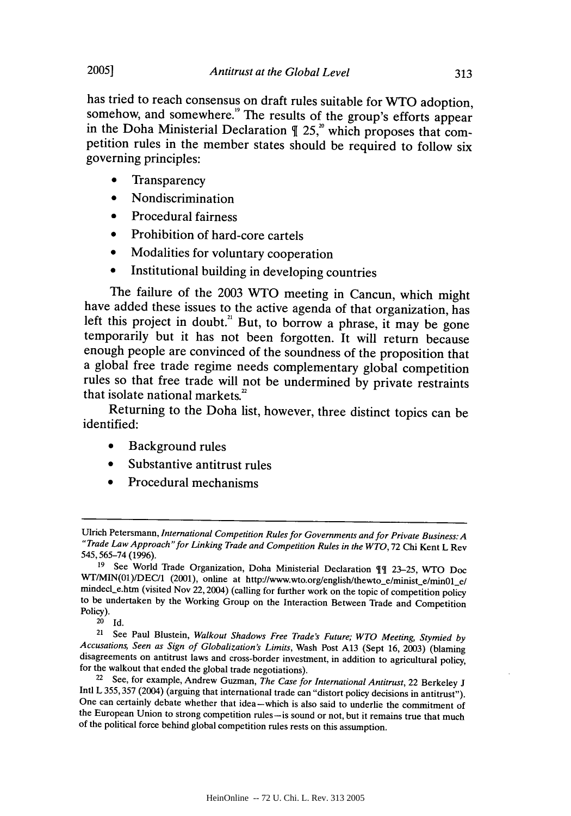has tried to reach consensus on draft rules suitable for **WTO** adoption, somehow, and somewhere.'9 The results of the group's efforts appear in the Doha Ministerial Declaration  $\parallel 25$ ,<sup>20</sup> which proposes that competition rules in the member states should be required to follow six governing principles:

- Transparency
- **"** Nondiscrimination
- Procedural fairness
- Prohibition of hard-core cartels
- Modalities for voluntary cooperation
- Institutional building in developing countries

The failure of the **2003 WTO** meeting in Cancun, which might have added these issues to the active agenda of that organization, has left this project in doubt.<sup>21</sup> But, to borrow a phrase, it may be gone temporarily but it has not been forgotten. It will return because enough people are convinced of the soundness of the proposition that<br>a global free trade regime needs complementary global competition rules so that free trade will not be undermined by private restraints that isolate national markets. $2^2$ 

Returning to the Doha list, however, three distinct topics can be identified:

- **"** Background rules
- \* Substantive antitrust rules
- Procedural mechanisms

**2005]**

Ulrich Petersmann, *International Competition Rules for Governments and for Private Business: A "Trade Law Approach"for Linking Trade and Competition Rules in the WTO,* 72 Chi Kent L Rev 545,565-74 (1996).

<sup>&</sup>lt;sup>19</sup> See World Trade Organization, Doha Ministerial Declaration <sup>11</sup> 23-25, WTO Doc WT/MIN(01)/DEC/1 (2001), online at http://www.wto.org/english/thewto\_e/minist\_e/min01\_e/ mindecl\_e.htm (visited Nov 22, 2004) (calling for further work on the topic of competition policy to be undertaken by the Working Group on the Interaction Between Trade and Competition Policy).

**<sup>20</sup>Id.**

<sup>&</sup>lt;sup>21</sup> See Paul Blustein, *Walkout Shadows Free Trade's Future; WTO Meeting, Stymied by Accusations, Seen as Sign of Globalization's Limits,* Wash Post A13 (Sept 16, 2003) (blaming disagreements on antitrust laws and cross-border investment, in addition to agricultural policy, for the walkout that ended the global trade negotiations).

<sup>&</sup>lt;sup>22</sup> See, for example, Andrew Guzman, *The Case for International Antitrust*, 22 Berkeley J Intl L 355, 357 (2004) (arguing that international trade can "distort policy decisions in antitrust"). One can certainly debate w the European Union to strong competition rules-is sound or not, but it remains true that much of the political force behind global competition rules rests on this assumption.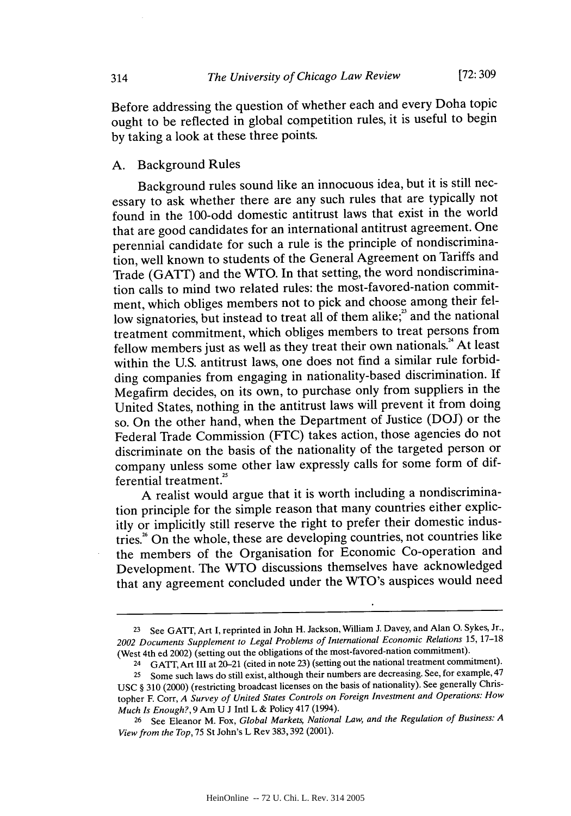Before addressing the question of whether each and every Doha topic ought to be reflected in global competition rules, it is useful to begin by taking a look at these three points.

#### A. Background Rules

Background rules sound like an innocuous idea, but it is still necessary to ask whether there are any such rules that are typically not found in the 100-odd domestic antitrust laws that exist in the world that are good candidates for an international antitrust agreement. One perennial candidate for such a rule is the principle of nondiscrimination, well known to students of the General Agreement on Tariffs and Trade (GATT) and the WTO. In that setting, the word nondiscrimination calls to mind two related rules: the most-favored-nation commitment, which obliges members not to pick and choose among their fellow signatories, but instead to treat all of them alike;<sup>23</sup> and the national treatment commitment, which obliges members to treat persons from fellow members just as well as they treat their own nationals. $A^*$  At least within the U.S. antitrust laws, one does not find a similar rule forbidding companies from engaging in nationality-based discrimination. If Megafirm decides, on its own, to purchase only from suppliers in the United States, nothing in the antitrust laws will prevent it from doing so. On the other hand, when the Department of Justice (DOJ) or the Federal Trade Commission (FTC) takes action, those agencies do not discriminate on the basis of the nationality of the targeted person or company unless some other law expressly calls for some form of differential treatment."

A realist would argue that it is worth including a nondiscrimination principle for the simple reason that many countries either explicitly or implicitly still reserve the right to prefer their domestic industries." On the whole, these are developing countries, not countries like the members of the Organisation for Economic Co-operation and Development. The WTO discussions themselves have acknowledged that any agreement concluded under the WTO's auspices would need

314

<sup>23</sup>See GATT, Art I, reprinted in John H. Jackson, William J. Davey, and Alan **0.** Sykes, Jr., *2002 Documents Supplement to Legal Problems of International Economic Relations* 15, **17-18** (West 4th ed 2002) (setting out the obligations of the most-favored-nation commitment).

<sup>24</sup>GATT, Art III at 20-21 (cited in note 23) (setting out the national treatment commitment).

<sup>&</sup>lt;sup>25</sup> Some such laws do still exist, although their numbers are decreasing. See, for example, 47 USC § 310 (2000) (restricting broadcast licenses on the basis of nationality). See generally Christopher F. Corr, *A Survey of United States Controls on Foreign Investment and Operations: How Much Is Enough?,* 9 Am U J Intl L & Policy 417 (1994).

<sup>&</sup>lt;sup>26</sup> See Eleanor M. Fox, *Global Markets, National Law, and the Regulation of Business: A View from the Top,* 75 St John's L Rev 383,392 (2001).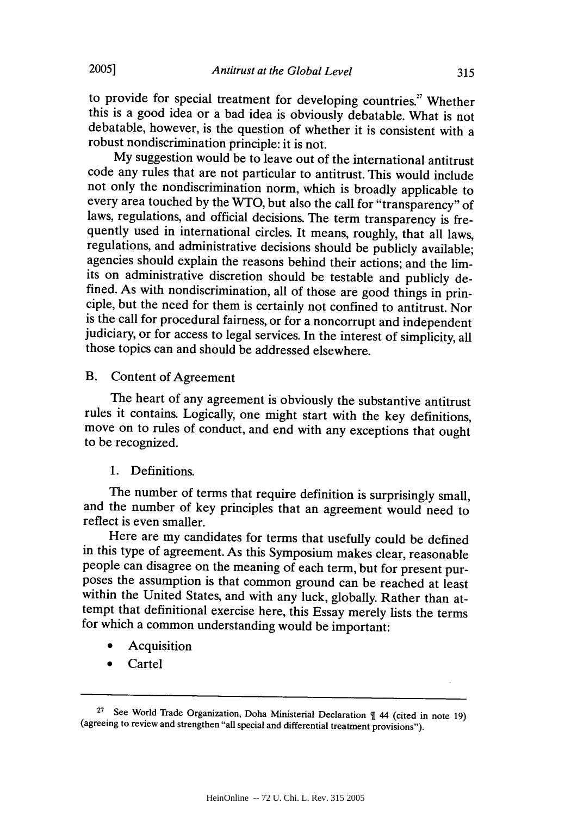to provide for special treatment for developing countries." Whether this is a good idea or a bad idea is obviously debatable. What is not debatable, however, is the question of whether it is consistent with a robust nondiscrimination principle: it is not.

My suggestion would be to leave out of the international antitrust code any rules that are not particular to antitrust. This would include not only the nondiscrimination norm, which is broadly applicable to every area touched by the WTO, but also the call for "transparency" of laws, regulations, and official decisions. The term transparency is frequently used in international circles. It means, roughly, that all laws, regulations, and administrative decisions should be publicly available; agencies should explain the reasons behind their actions; and the limits on administrative discretion should be testable and publicly defined. As with nondiscrimination, all of those are good things in prin-<br>ciple, but the need for them is certainly not confined to antitrust. Nor<br>is the call for procedural fairness, or for a noncorrupt and independent judiciary, or for access to legal services. In the interest of simplicity, all those topics can and should be addressed elsewhere.

## B. Content of Agreement

The heart of any agreement is obviously the substantive antitrust rules it contains. Logically, one might start with the key definitions, move on to rules of conduct, and end with any exceptions that ought to be recognized.

## 1. Definitions.

The number of terms that require definition is surprisingly small, and the number of key principles that an agreement would need to reflect is even smaller.

Here are my candidates for terms that usefully could be defined in this type of agreement. As this Symposium makes clear, reasonable people can disagree on the meaning of each term, but for present pur- poses the assumption is that common ground can be reached at least within the United States, and with any luck, globally. Rather than attempt that definitional exercise here, this Essay merely lists the terms for which a common understanding would be important:

- **Acquisition**
- **Cartel**

<sup>27</sup>See World Trade Organization, Doha Ministerial Declaration 44 (cited in note **19)** (agreeing to review and strengthen "all special and differential treatment provisions").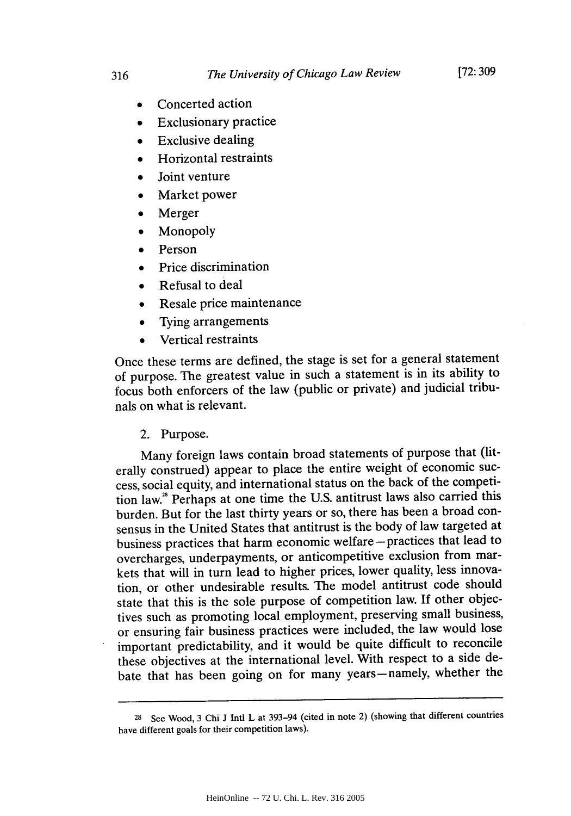- Concerted action
- **Exclusionary practice**
- **"** Exclusive dealing
- **Horizontal restraints**
- Joint venture
- Market power
- Merger
- **Monopoly**
- **Person**
- Price discrimination
- Refusal to deal
- Resale price maintenance
- **"** Tying arrangements
- **"** Vertical restraints

Once these terms are defined, the stage is set for a general statement of purpose. The greatest value in such a statement is in its ability to focus both enforcers of the law (public or private) and judicial tribunals on what is relevant.

## 2. Purpose.

Many foreign laws contain broad statements of purpose that (literally construed) appear to place the entire weight of economic success, social equity, and international status on the back of the competition law." Perhaps at one time the U.S. antitrust laws also carried this burden. But for the last thirty years or so, there has been a broad consensus in the United States that antitrust is the body of law targeted at business practices that harm economic welfare - practices that lead to overcharges, underpayments, or anticompetitive exclusion from markets that will in turn lead to higher prices, lower quality, less innovation, or other undesirable results. The model antitrust code should state that this is the sole purpose of competition law. **If** other objectives such as promoting local employment, preserving small business, or ensuring fair business practices were included, the law would lose important predictability, and it would be quite difficult to reconcile these objectives at the international level. With respect to a side debate that has been going on for many years-namely, whether the

<sup>28</sup> See Wood, 3 Chi J Intl L at 393-94 (cited in note 2) (showing that different countries have different goals for their competition laws).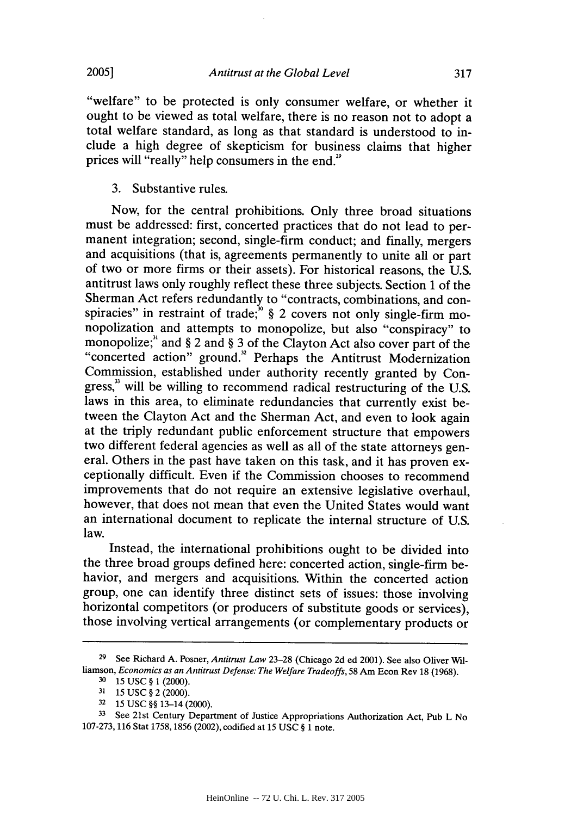"welfare" to be protected is only consumer welfare, or whether it ought to be viewed as total welfare, there is no reason not to adopt a total welfare standard, as long as that standard is understood to include a high degree of skepticism for business claims that higher prices will "really" help consumers in the end.<sup>29</sup>

3. Substantive rules.

Now, for the central prohibitions. Only three broad situations must be addressed: first, concerted practices that do not lead to permanent integration; second, single-firm conduct; and finally, mergers and acquisitions (that is, agreements permanently to unite all or part of two or more firms or their assets). For historical reasons, the U.S. antitrust laws only roughly reflect these three subjects. Section 1 of the Sherman Act refers redundantly to "contracts, combinations, and conspiracies" in restraint of trade;<sup>30</sup> § 2 covers not only single-firm monopolization and attempts to monopolize, but also "conspiracy" to monopolize;" and  $\S 2$  and  $\S 3$  of the Clayton Act also cover part of the "concerted action" ground." Perhaps the Antitrust Modernization Commission, established under authority recently granted by Congress," will be willing to recommend radical restructuring of the U.S. laws in this area, to eliminate redundancies that currently exist between the Clayton Act and the Sherman Act, and even to look again at the triply redundant public enforcement structure that empowers two different federal agencies as well as all of the state attorneys general. Others in the past have taken on this task, and it has proven exceptionally difficult. Even if the Commission chooses to recommend improvements that do not require an extensive legislative overhaul, however, that does not mean that even the United States would want an international document to replicate the internal structure of U.S. law.

Instead, the international prohibitions ought to be divided into the three broad groups defined here: concerted action, single-firm behavior, and mergers and acquisitions. Within the concerted action group, one can identify three distinct sets of issues: those involving horizontal competitors (or producers of substitute goods or services), those involving vertical arrangements (or complementary products or

**<sup>29</sup>** See Richard A. Posner, *Antitrust Law* 23-28 (Chicago 2d ed 2001). See also Oliver Williamson, *Economics as an Antitrust Defense: The Welfare Tradeoffs,* 58 Am Econ Rev 18 (1968).

**<sup>30</sup>**15 USC § 1 (2000).

**<sup>31</sup>**15 USC § 2 (2000).

**<sup>32</sup>15** USC §§ 13-14 (2000).

**<sup>33</sup>**See 21st Century Department of Justice Appropriations Authorization Act, Pub L No 107-273, 116 Stat 1758, 1856 (2002), codified at 15 USC § 1 note.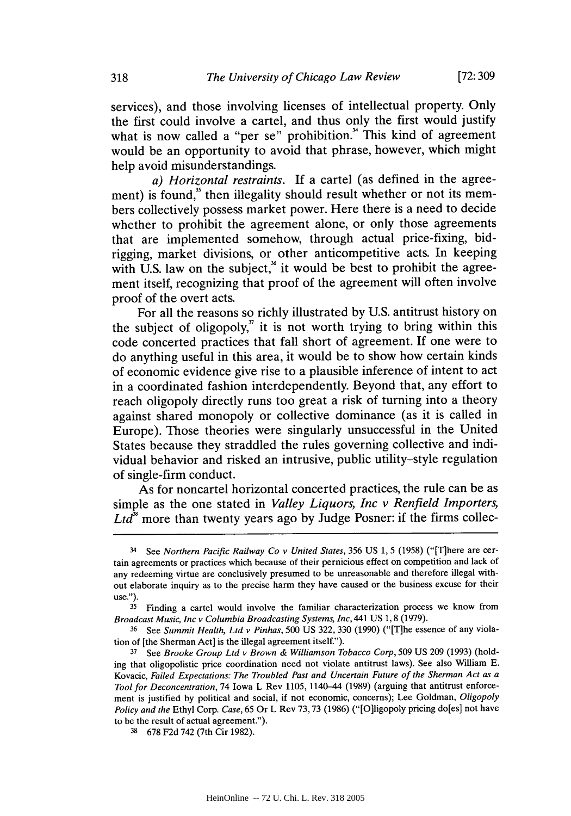**[72:309**

services), and those involving licenses of intellectual property. Only the first could involve a cartel, and thus only the first would justify what is now called a "per se" prohibition." This kind of agreement would be an opportunity to avoid that phrase, however, which might help avoid misunderstandings.

*a) Horizontal restraints.* If a cartel (as defined in the agreement) is found,<sup>35</sup> then illegality should result whether or not its members collectively possess market power. Here there is a need to decide whether to prohibit the agreement alone, or only those agreements that are implemented somehow, through actual price-fixing, bidrigging, market divisions, or other anticompetitive acts. In keeping with U.S. law on the subject,<sup>36</sup> it would be best to prohibit the agreement itself, recognizing that proof of the agreement will often involve proof of the overt acts.

For all the reasons so richly illustrated by U.S. antitrust history on the subject of oligopoly," it is not worth trying to bring within this code concerted practices that fall short of agreement. If one were to do anything useful in this area, it would be to show how certain kinds of economic evidence give rise to a plausible inference of intent to act in a coordinated fashion interdependently. Beyond that, any effort to reach oligopoly directly runs too great a risk of turning into a theory against shared monopoly or collective dominance (as it is called in Europe). Those theories were singularly unsuccessful in the United States because they straddled the rules governing collective and individual behavior and risked an intrusive, public utility-style regulation of single-firm conduct.

As for noncartel horizontal concerted practices, the rule can be as simple as the one stated in *Valley Liquors, Inc v Renfield Importers,*  $Ltd^3$  more than twenty years ago by Judge Posner: if the firms collec-

<sup>34</sup> See *Northern Pacific Railway Co v United States,* 356 US 1, 5 (1958) ("[T]here are certain agreements or practices which because of their pernicious effect on competition and lack of any redeeming virtue are conclusively presumed to be unreasonable and therefore illegal without elaborate inquiry as to the precise harm they have caused or the business excuse for their use.").

**<sup>35</sup>** Finding a cartel would involve the familiar characterization process we know from *Broadcast Music, Inc v Columbia Broadcasting Systems,* Inc, 441 US 1, 8 (1979).

<sup>36</sup> See *Summit Health, Ltd v Pinhas,* 500 US 322, 330 (1990) ("[Tlhe essence of any violation of [the Sherman Act] is the illegal agreement itself.").

<sup>37</sup> See *Brooke Group Ltd v Brown & Williamson Tobacco Corp,* 509 US 209 (1993) (holding that oligopolistic price coordination need not violate antitrust laws). See also William E. Kovacic, *Failed Expectations: The Troubled Past and Uncertain Future of the Sherman Act as a Tool for Deconcentration,* 74 Iowa L Rev 1105, 1140-44 (1989) (arguing that antitrust enforcement is justified by political and social, if not economic, concerns); Lee Goldman, *Oligopoly Policy and the* Ethyl Corp. *Case,* 65 Or L Rev 73,73 (1986) ("[Oligopoly pricing do[es] not have to be the result of actual agreement.").

<sup>38</sup>678 F2d 742 (7th Cir 1982).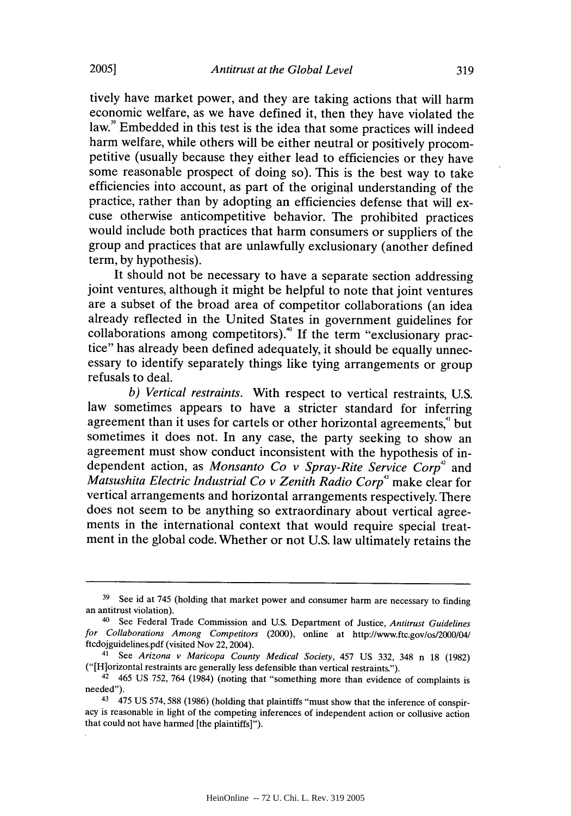tively have market power, and they are taking actions that will harm economic welfare, as we have defined it, then they have violated the law." Embedded in this test is the idea that some practices will indeed harm welfare, while others will be either neutral or positively procompetitive (usually because they either lead to efficiencies or they have some reasonable prospect of doing so). This is the best way to take efficiencies into account, as part of the original understanding of the practice, rather than by adopting an efficiencies defense that will excuse otherwise anticompetitive behavior. The prohibited practices would include both practices that harm consumers or suppliers of the group and practices that are unlawfully exclusionary (another defined term, by hypothesis).

It should not be necessary to have a separate section addressing joint ventures, although it might be helpful to note that joint ventures are a subset of the broad area of competitor collaborations (an idea already reflected in the United States in government guidelines for collaborations among competitors).<sup>40</sup> If the term "exclusionary practice" has already been defined adequately, it should be equally unnecessary to identify separately things like tying arrangements or group refusals to deal.

*b) Vertical restraints.* With respect to vertical restraints, U.S. law sometimes appears to have a stricter standard for inferring agreement than it uses for cartels or other horizontal agreements," but sometimes it does not. In any case, the party seeking to show an agreement must show conduct inconsistent with the hypothesis of independent action, as *Monsanto Co v Spray-Rite Service Corp<sup>42</sup>* and *Matsushita Electric Industrial Co v Zenith Radio Corp3* make clear for vertical arrangements and horizontal arrangements respectively. There does not seem to be anything so extraordinary about vertical agreements in the international context that would require special treatment in the global code. Whether or not U.S. law ultimately retains the

<sup>&</sup>lt;sup>39</sup> See id at 745 (holding that market power and consumer harm are necessary to finding an antitrust violation).

<sup>&</sup>lt;sup>40</sup> See Federal Trade Commission and U.S. Department of Justice, *Antitrust Guidelines for Collaborations Among Competitors* (2000), online at http://www.ftc.gov/os/2000/04/ ftcdojguidelines.pdf (visited Nov 22, 2004).

<sup>41</sup>See *Arizona v Maricopa County Medical Society,* 457 US 332, 348 n 18 (1982) ("[Hiorizontal restraints are generally less defensible than vertical restraints.").

<sup>42</sup>465 US 752, 764 (1984) (noting that "something more than evidence of complaints is needed").

<sup>43 475</sup> US 574, 588 (1986) (holding that plaintiffs "must show that the inference of conspiracy is reasonable in light of the competing inferences of independent action or collusive action that could not have harmed [the plaintiffs]").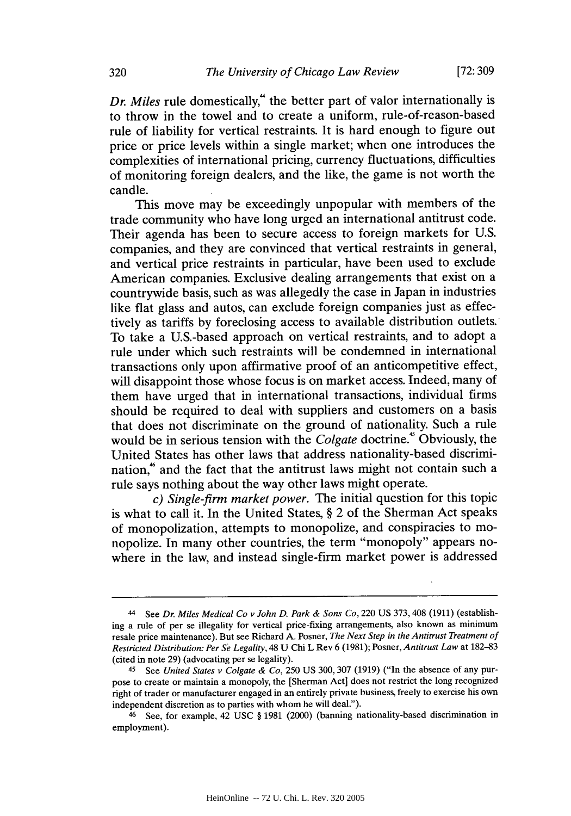*Dr. Miles* rule domestically,<sup>"</sup> the better part of valor internationally is to throw in the towel and to create a uniform, rule-of-reason-based rule of liability for vertical restraints. It is hard enough to figure out price or price levels within a single market; when one introduces the complexities of international pricing, currency fluctuations, difficulties of monitoring foreign dealers, and the like, the game is not worth the candle.

This move may be exceedingly unpopular with members of the trade community who have long urged an international antitrust code. Their agenda has been to secure access to foreign markets for U.S. companies, and they are convinced that vertical restraints in general, and vertical price restraints in particular, have been used to exclude American companies. Exclusive dealing arrangements that exist on a countrywide basis, such as was allegedly the case in Japan in industries like flat glass and autos, can exclude foreign companies just as effectively as tariffs by foreclosing access to available distribution outlets. To take a U.S.-based approach on vertical restraints, and to adopt a rule under which such restraints will be condemned in international transactions only upon affirmative proof of an anticompetitive effect, will disappoint those whose focus is on market access. Indeed, many of them have urged that in international transactions, individual firms should be required to deal with suppliers and customers on a basis that does not discriminate on the ground of nationality. Such a rule would be in serious tension with the *Colgate* doctrine.' Obviously, the United States has other laws that address nationality-based discrimination,<sup>46</sup> and the fact that the antitrust laws might not contain such a rule says nothing about the way other laws might operate.

*c) Single-firm market power.* The initial question for this topic is what to call it. In the United States, § 2 of the Sherman Act speaks of monopolization, attempts to monopolize, and conspiracies to monopolize. In many other countries, the term "monopoly" appears nowhere in the law, and instead single-firm market power is addressed

<sup>44</sup> See *Dr. Miles Medical Co v John D. Park & Sons Co,* 220 US 373,408 (1911) (establishing a rule of per se illegality for vertical price-fixing arrangements, also known as minimum resale price maintenance). But see Richard A. Posner, *The Next Step in the Antitrust Treatment of Restricted Distribution: Per Se Legality,* 48 U Chi L Rev 6 (1981); Posner, *Antitrust Law* at 182-83 (cited in note 29) (advocating per se legality).

<sup>45</sup> See *United States v Colgate & Co,* 250 US 300, 307 (1919) ("In the absence of any purpose to create or maintain a monopoly, the [Sherman Act] does not restrict the long recognized right of trader or manufacturer engaged in an entirely private business, freely to exercise his own independent discretion as to parties with whom he will deal.").

 $46$  See, for example, 42 USC § 1981 (2000) (banning nationality-based discrimination in employment).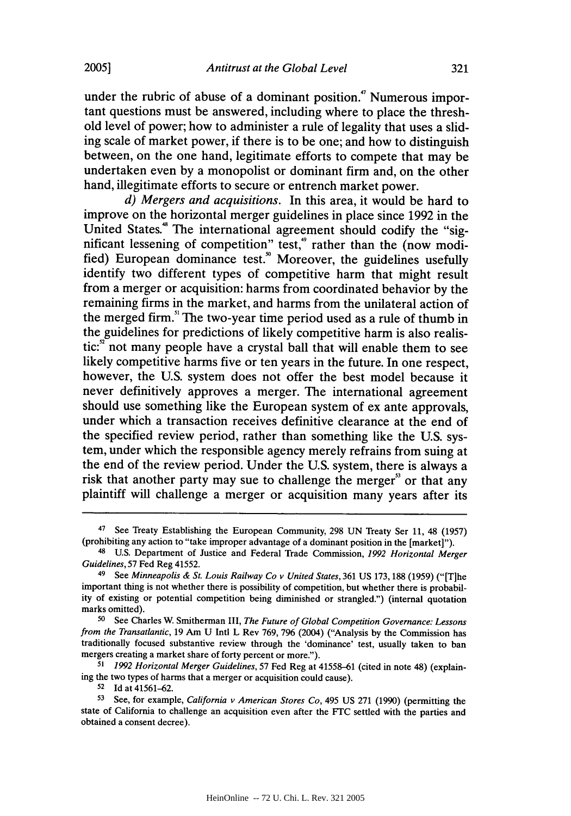under the rubric of abuse of a dominant position.<sup>7</sup> Numerous important questions must be answered, including where to place the threshold level of power; how to administer a rule of legality that uses a sliding scale of market power, if there is to be one; and how to distinguish between, on the one hand, legitimate efforts to compete that may be undertaken even **by** a monopolist or dominant firm and, on the other hand, illegitimate efforts to secure or entrench market power.

*d) Mergers and acquisitions.* In this area, it would be hard to improve on the horizontal merger guidelines in place since **1992** in the United States." The international agreement should codify the "significant lessening of competition" test,<sup>4</sup> rather than the (now modified) European dominance test.<sup>9</sup> Moreover, the guidelines usefully identify two different types of competitive harm that might result from a merger or acquisition: harms from coordinated behavior **by** the remaining firms in the market, and harms from the unilateral action of the merged firm.<sup>51</sup> The two-year time period used as a rule of thumb in the guidelines for predictions of likely competitive harm is also realis $tic: n<sup>2</sup>$  not many people have a crystal ball that will enable them to see likely competitive harms five or ten years in the future. In one respect, however, the **U.S.** system does not offer the best model because it never definitively approves a merger. The international agreement should use something like the European system of ex ante approvals, under which a transaction receives definitive clearance at the end of the specified review period, rather than something like the **U.S.** system, under which the responsible agency merely refrains from suing at the end of the review period. Under the **U.S.** system, there is always a risk that another party may sue to challenge the merger<sup>33</sup> or that any plaintiff will challenge a merger or acquisition many years after its

**51** *1992 Horizontal Merger Guidelines,* **57** Fed Reg at **41558-61** (cited in note 48) (explaining the two types of harms that a merger or acquisition could cause).

<sup>52</sup>**Id** at 41561-62.

<sup>47</sup> See Treaty Establishing the European Community, 298 UN Treaty Ser 11, 48 (1957) (prohibiting any action to "take improper advantage of a dominant position in the [market]").

<sup>48</sup>U.S. Department of Justice and Federal Trade Commission, *1992 Horizontal Merger Guidelines,* **57** Fed Reg 41552. 49 See *Minneapolis & St. Louis Railway Co v United States,* 361 US 173,188 (1959) ("[T]he

important thing is not whether there is possibility of competition, but whether there is probability of existing or potential competition being diminished or strangled.") (internal quotation marks omitted).

<sup>50</sup> See Charles **W.** Smitherman III, *The Future of Global Competition Governance: Lessons from the Transatlantic,* 19 Am U Intl L Rev 769, 796 (2004) ("Analysis **by** the Commission has traditionally focused substantive review through the 'dominance' test, usually taken to ban mergers creating a market share of forty percent or more.").

<sup>53</sup> See, for example, *California v American Stores Co*, 495 US 271 (1990) (permitting the state of California to challenge an acquisition even after the **FTC** settled with the parties and obtained a consent decree).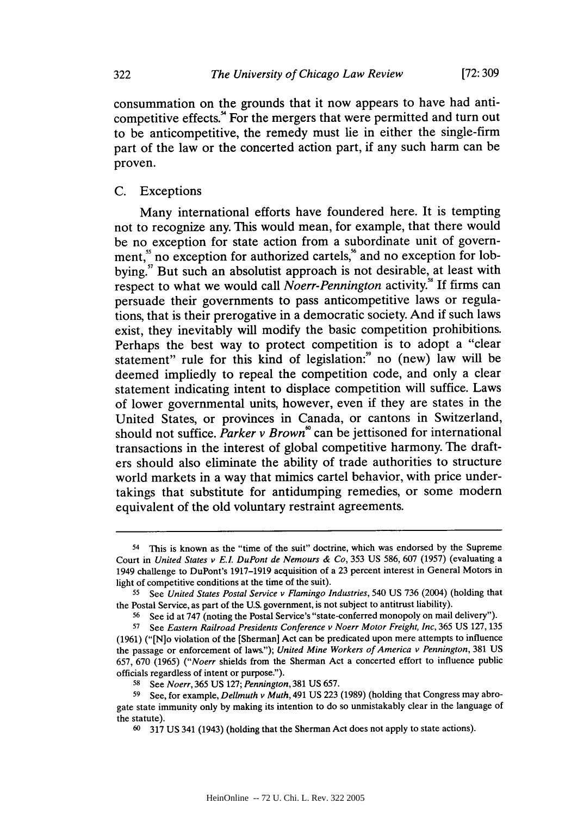consummation on the grounds that it now appears to have had anticompetitive effects.!' For the mergers that were permitted and turn out to be anticompetitive, the remedy must lie in either the single-firm part of the law or the concerted action part, if any such harm can be proven.

#### **C.** Exceptions

Many international efforts have foundered here. It is tempting not to recognize any. This would mean, for example, that there would be no exception for state action from a subordinate unit of government,<sup>5</sup> no exception for authorized cartels,<sup>5</sup> and no exception for lobbying.<sup>57</sup> But such an absolutist approach is not desirable, at least with respect to what we would call *Noerr-Pennington* activity." **If** firms can persuade their governments to pass anticompetitive laws or regulations, that is their prerogative in a democratic society. And if such laws exist, they inevitably will modify the basic competition prohibitions. Perhaps the best way to protect competition is to adopt a "clear statement" rule for this kind of legislation:" no (new) law will be deemed impliedly to repeal the competition code, and only a clear statement indicating intent to displace competition will suffice. Laws of lower governmental units, however, even if they are states in the United States, or provinces in Canada, or cantons in Switzerland, should not suffice. Parker v Brown<sup>®</sup> can be jettisoned for international transactions in the interest of global competitive harmony. The drafters should also eliminate the ability of trade authorities to structure world markets in a way that mimics cartel behavior, with price undertakings that substitute for antidumping remedies, or some modern equivalent of the old voluntary restraint agreements.

<sup>54</sup>This is known as the "time of the suit" doctrine, which was endorsed **by** the Supreme Court in *United States v E.. DuPont de Nemours & Co,* **353 US 586, 607 (1957)** (evaluating a 1949 challenge to DuPont's **1917-1919** acquisition of a **23** percent interest in General Motors in light of competitive conditions at the time of the suit).

**<sup>55</sup>**See *United States Postal Service v Flamingo Industries,* 540 **US 736** (2004) (holding that the Postal Service, as part of the **U.S.** government, is not subject to antitrust liability).

<sup>56</sup> See id at 747 (noting the Postal Service's "state-conferred monopoly on mail delivery").

**<sup>57</sup>**See *Eastern Railroad Presidents Conference v Noerr Motor Freight, Inc,* **365 US 127, 135 (1961)** ("[N]o violation of the [Sherman] Act can be predicated upon mere attempts to influence the passage or enforcement of laws."); *United Mine Workers of America v Pennington,* **381 US 657, 670 (1965)** *("Noerr* shields from the Sherman Act a concerted effort to influence public officials regardless of intent or purpose.").

**<sup>58</sup>**See Noerr, **365 US 127;** *Pennington,* **381 US 657.**

**<sup>59</sup>** See, for example, Dellmuth *v* Muth, 491 **US 223 (1989)** (holding that Congress may abrogate state immunity only **by** making its intention to do so unmistakably clear in the language of the statute).

**<sup>60 317</sup> US** 341 (1943) (holding that the Sherman Act does not apply to state actions).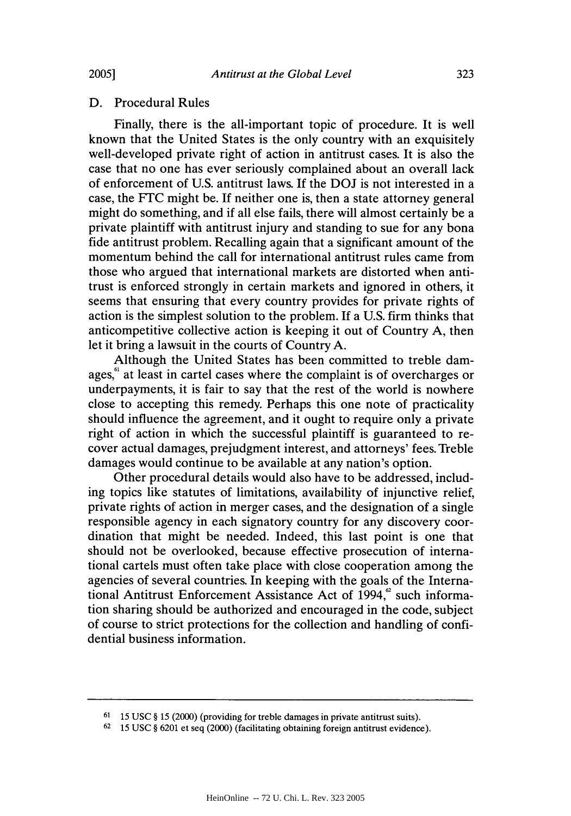## D. Procedural Rules

Finally, there is the all-important topic of procedure. It is well known that the United States is the only country with an exquisitely well-developed private right of action in antitrust cases. It is also the case that no one has ever seriously complained about an overall lack of enforcement of U.S. antitrust laws. If the DOJ is not interested in a case, the FTC might be. If neither one is, then a state attorney general might do something, and if all else fails, there will almost certainly be a private plaintiff with antitrust injury and standing to sue for any bona fide antitrust problem. Recalling again that a significant amount of the momentum behind the call for international antitrust rules came from those who argued that international markets are distorted when antitrust is enforced strongly in certain markets and ignored in others, it seems that ensuring that every country provides for private rights of action is the simplest solution to the problem. If a U.S. firm thinks that anticompetitive collective action is keeping it out of Country A, then let it bring a lawsuit in the courts of Country A.

Although the United States has been committed to treble damages,<sup>61</sup> at least in cartel cases where the complaint is of overcharges or underpayments, it is fair to say that the rest of the world is nowhere close to accepting this remedy. Perhaps this one note of practicality should influence the agreement, and it ought to require only a private right of action in which the successful plaintiff is guaranteed to recover actual damages, prejudgment interest, and attorneys' fees. Treble damages would continue to be available at any nation's option.

Other procedural details would also have to be addressed, including topics like statutes of limitations, availability of injunctive relief, private rights of action in merger cases, and the designation of a single responsible agency in each signatory country for any discovery coordination that might be needed. Indeed, this last point is one that should not be overlooked, because effective prosecution of international cartels must often take place with close cooperation among the agencies of several countries. In keeping with the goals of the International Antitrust Enforcement Assistance Act of  $1994$ , such information sharing should be authorized and encouraged in the code, subject of course to strict protections for the collection and handling of confidential business information.

**<sup>61</sup>**15 USC § 15 (2000) (providing for treble damages in private antitrust suits).

**<sup>62</sup>**15 USC § 6201 et seq (2000) (facilitating obtaining foreign antitrust evidence).